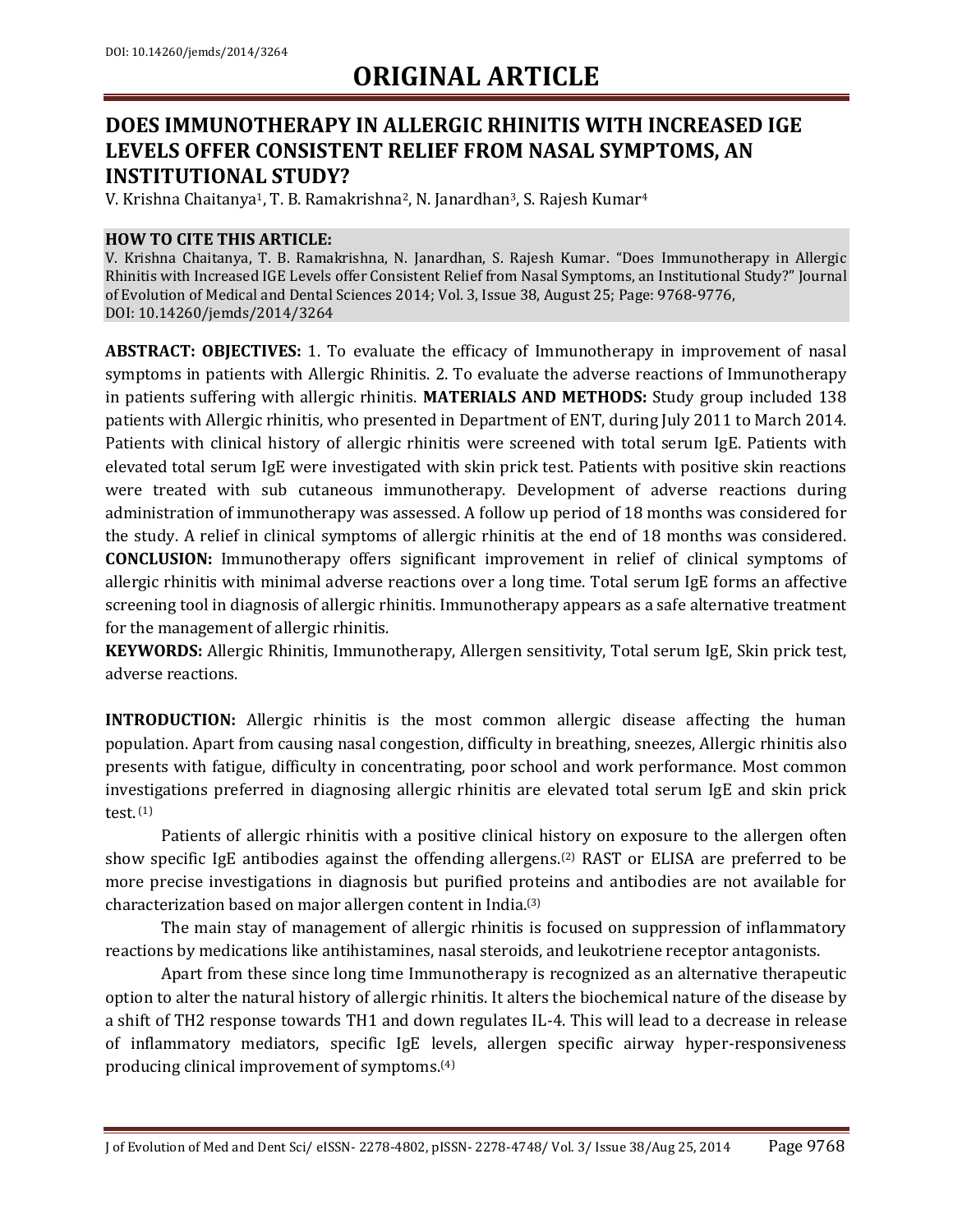### **DOES IMMUNOTHERAPY IN ALLERGIC RHINITIS WITH INCREASED IGE LEVELS OFFER CONSISTENT RELIEF FROM NASAL SYMPTOMS, AN INSTITUTIONAL STUDY?**

V. Krishna Chaitanya<sup>1</sup>, T. B. Ramakrishna<sup>2</sup>, N. Janardhan<sup>3</sup>, S. Rajesh Kumar<sup>4</sup>

### **HOW TO CITE THIS ARTICLE:**

V. Krishna Chaitanya, T. B. Ramakrishna, N. Janardhan, S. Rajesh Kumar. "Does Immunotherapy in Allergic Rhinitis with Increased IGE Levels offer Consistent Relief from Nasal Symptoms, an Institutional Study?" Journal of Evolution of Medical and Dental Sciences 2014; Vol. 3, Issue 38, August 25; Page: 9768-9776, DOI: 10.14260/jemds/2014/3264

**ABSTRACT: OBJECTIVES:** 1. To evaluate the efficacy of Immunotherapy in improvement of nasal symptoms in patients with Allergic Rhinitis. 2. To evaluate the adverse reactions of Immunotherapy in patients suffering with allergic rhinitis. **MATERIALS AND METHODS:** Study group included 138 patients with Allergic rhinitis, who presented in Department of ENT, during July 2011 to March 2014. Patients with clinical history of allergic rhinitis were screened with total serum IgE. Patients with elevated total serum IgE were investigated with skin prick test. Patients with positive skin reactions were treated with sub cutaneous immunotherapy. Development of adverse reactions during administration of immunotherapy was assessed. A follow up period of 18 months was considered for the study. A relief in clinical symptoms of allergic rhinitis at the end of 18 months was considered. **CONCLUSION:** Immunotherapy offers significant improvement in relief of clinical symptoms of allergic rhinitis with minimal adverse reactions over a long time. Total serum IgE forms an affective screening tool in diagnosis of allergic rhinitis. Immunotherapy appears as a safe alternative treatment for the management of allergic rhinitis.

**KEYWORDS:** Allergic Rhinitis, Immunotherapy, Allergen sensitivity, Total serum IgE, Skin prick test, adverse reactions.

**INTRODUCTION:** Allergic rhinitis is the most common allergic disease affecting the human population. Apart from causing nasal congestion, difficulty in breathing, sneezes, Allergic rhinitis also presents with fatigue, difficulty in concentrating, poor school and work performance. Most common investigations preferred in diagnosing allergic rhinitis are elevated total serum IgE and skin prick test. (1)

Patients of allergic rhinitis with a positive clinical history on exposure to the allergen often show specific IgE antibodies against the offending allergens.(2) RAST or ELISA are preferred to be more precise investigations in diagnosis but purified proteins and antibodies are not available for characterization based on major allergen content in India.(3)

The main stay of management of allergic rhinitis is focused on suppression of inflammatory reactions by medications like antihistamines, nasal steroids, and leukotriene receptor antagonists.

Apart from these since long time Immunotherapy is recognized as an alternative therapeutic option to alter the natural history of allergic rhinitis. It alters the biochemical nature of the disease by a shift of TH2 response towards TH1 and down regulates IL-4. This will lead to a decrease in release of inflammatory mediators, specific IgE levels, allergen specific airway hyper-responsiveness producing clinical improvement of symptoms.(4)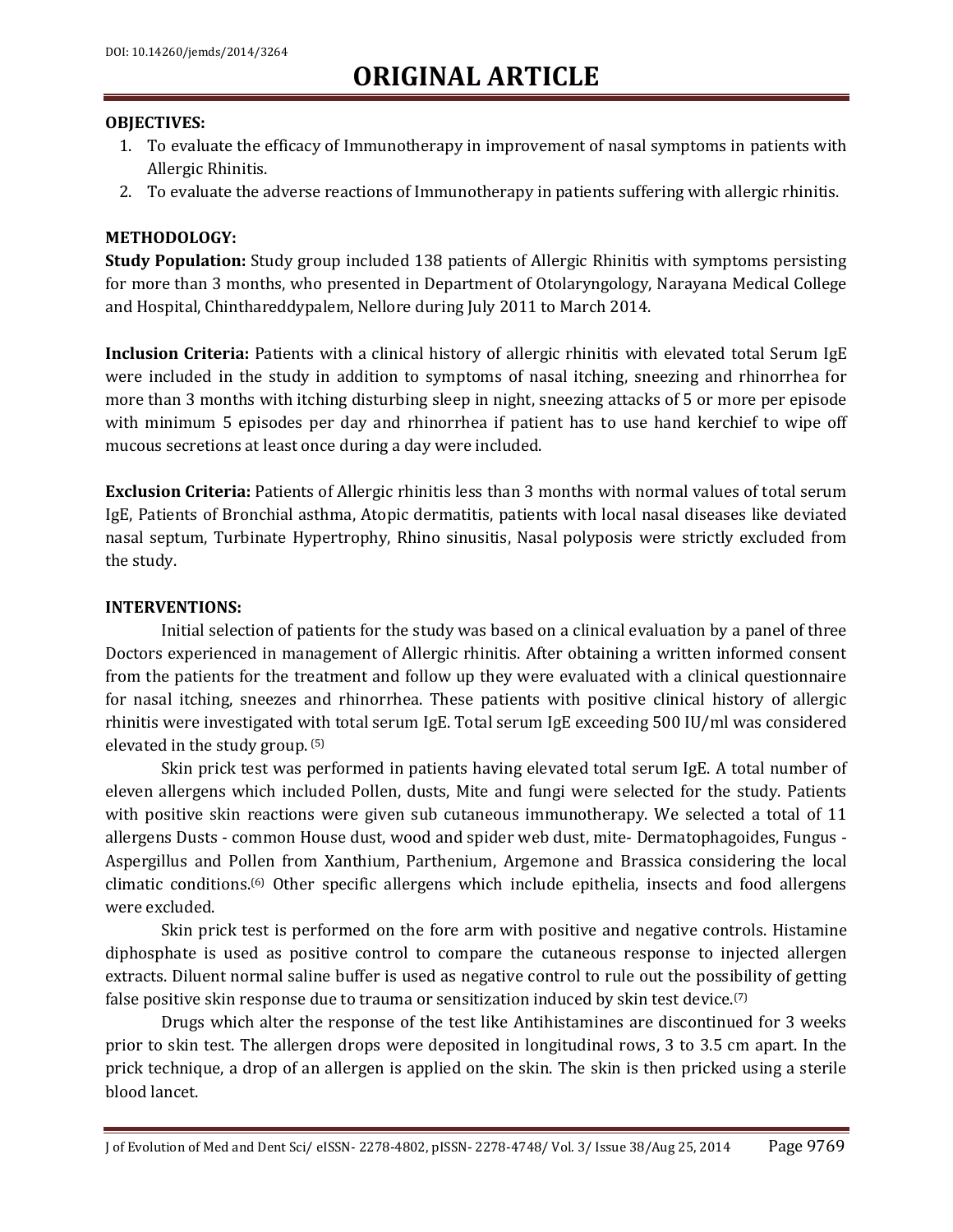### **OBJECTIVES:**

- 1. To evaluate the efficacy of Immunotherapy in improvement of nasal symptoms in patients with Allergic Rhinitis.
- 2. To evaluate the adverse reactions of Immunotherapy in patients suffering with allergic rhinitis.

### **METHODOLOGY:**

**Study Population:** Study group included 138 patients of Allergic Rhinitis with symptoms persisting for more than 3 months, who presented in Department of Otolaryngology, Narayana Medical College and Hospital, Chinthareddypalem, Nellore during July 2011 to March 2014.

**Inclusion Criteria:** Patients with a clinical history of allergic rhinitis with elevated total Serum IgE were included in the study in addition to symptoms of nasal itching, sneezing and rhinorrhea for more than 3 months with itching disturbing sleep in night, sneezing attacks of 5 or more per episode with minimum 5 episodes per day and rhinorrhea if patient has to use hand kerchief to wipe off mucous secretions at least once during a day were included.

**Exclusion Criteria:** Patients of Allergic rhinitis less than 3 months with normal values of total serum IgE, Patients of Bronchial asthma, Atopic dermatitis, patients with local nasal diseases like deviated nasal septum, Turbinate Hypertrophy, Rhino sinusitis, Nasal polyposis were strictly excluded from the study.

### **INTERVENTIONS:**

Initial selection of patients for the study was based on a clinical evaluation by a panel of three Doctors experienced in management of Allergic rhinitis. After obtaining a written informed consent from the patients for the treatment and follow up they were evaluated with a clinical questionnaire for nasal itching, sneezes and rhinorrhea. These patients with positive clinical history of allergic rhinitis were investigated with total serum IgE. Total serum IgE exceeding 500 IU/ml was considered elevated in the study group. (5)

Skin prick test was performed in patients having elevated total serum IgE. A total number of eleven allergens which included Pollen, dusts, Mite and fungi were selected for the study. Patients with positive skin reactions were given sub cutaneous immunotherapy. We selected a total of 11 allergens Dusts - common House dust, wood and spider web dust, mite- Dermatophagoides, Fungus - Aspergillus and Pollen from Xanthium, Parthenium, Argemone and Brassica considering the local climatic conditions.(6) Other specific allergens which include epithelia, insects and food allergens were excluded.

Skin prick test is performed on the fore arm with positive and negative controls. Histamine diphosphate is used as positive control to compare the cutaneous response to injected allergen extracts. Diluent normal saline buffer is used as negative control to rule out the possibility of getting false positive skin response due to trauma or sensitization induced by skin test device.<sup>(7)</sup>

Drugs which alter the response of the test like Antihistamines are discontinued for 3 weeks prior to skin test. The allergen drops were deposited in longitudinal rows, 3 to 3.5 cm apart. In the prick technique, a drop of an allergen is applied on the skin. The skin is then pricked using a sterile blood lancet.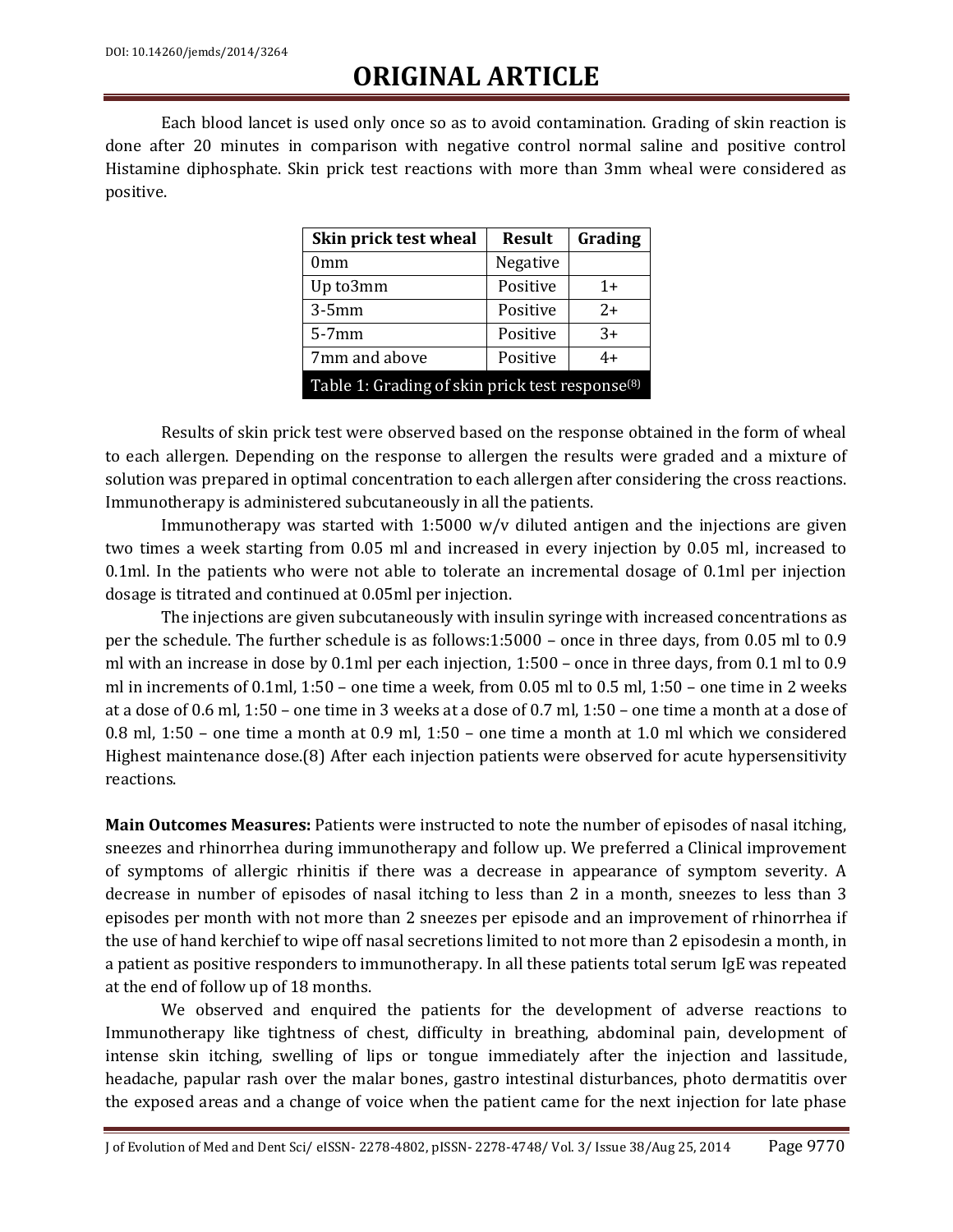Each blood lancet is used only once so as to avoid contamination. Grading of skin reaction is done after 20 minutes in comparison with negative control normal saline and positive control Histamine diphosphate. Skin prick test reactions with more than 3mm wheal were considered as positive.

| Skin prick test wheal                                       | <b>Result</b> | Grading |
|-------------------------------------------------------------|---------------|---------|
| 0mm                                                         | Negative      |         |
| Up to3mm                                                    | Positive      | $1+$    |
| $3-5mm$                                                     | Positive      | $2+$    |
| $5-7mm$                                                     | Positive      | $3+$    |
| 7mm and above                                               | Positive      | 4+      |
| Table 1: Grading of skin prick test response <sup>(8)</sup> |               |         |

Results of skin prick test were observed based on the response obtained in the form of wheal to each allergen. Depending on the response to allergen the results were graded and a mixture of solution was prepared in optimal concentration to each allergen after considering the cross reactions. Immunotherapy is administered subcutaneously in all the patients.

Immunotherapy was started with 1:5000  $w/v$  diluted antigen and the injections are given two times a week starting from 0.05 ml and increased in every injection by 0.05 ml, increased to 0.1ml. In the patients who were not able to tolerate an incremental dosage of 0.1ml per injection dosage is titrated and continued at 0.05ml per injection.

The injections are given subcutaneously with insulin syringe with increased concentrations as per the schedule. The further schedule is as follows:1:5000 – once in three days, from 0.05 ml to 0.9 ml with an increase in dose by 0.1ml per each injection, 1:500 – once in three days, from 0.1 ml to 0.9 ml in increments of 0.1ml, 1:50 – one time a week, from 0.05 ml to 0.5 ml, 1:50 – one time in 2 weeks at a dose of 0.6 ml, 1:50 – one time in 3 weeks at a dose of 0.7 ml, 1:50 – one time a month at a dose of 0.8 ml, 1:50 – one time a month at 0.9 ml, 1:50 – one time a month at 1.0 ml which we considered Highest maintenance dose.(8) After each injection patients were observed for acute hypersensitivity reactions.

**Main Outcomes Measures:** Patients were instructed to note the number of episodes of nasal itching, sneezes and rhinorrhea during immunotherapy and follow up. We preferred a Clinical improvement of symptoms of allergic rhinitis if there was a decrease in appearance of symptom severity. A decrease in number of episodes of nasal itching to less than 2 in a month, sneezes to less than 3 episodes per month with not more than 2 sneezes per episode and an improvement of rhinorrhea if the use of hand kerchief to wipe off nasal secretions limited to not more than 2 episodesin a month, in a patient as positive responders to immunotherapy. In all these patients total serum IgE was repeated at the end of follow up of 18 months.

We observed and enquired the patients for the development of adverse reactions to Immunotherapy like tightness of chest, difficulty in breathing, abdominal pain, development of intense skin itching, swelling of lips or tongue immediately after the injection and lassitude, headache, papular rash over the malar bones, gastro intestinal disturbances, photo dermatitis over the exposed areas and a change of voice when the patient came for the next injection for late phase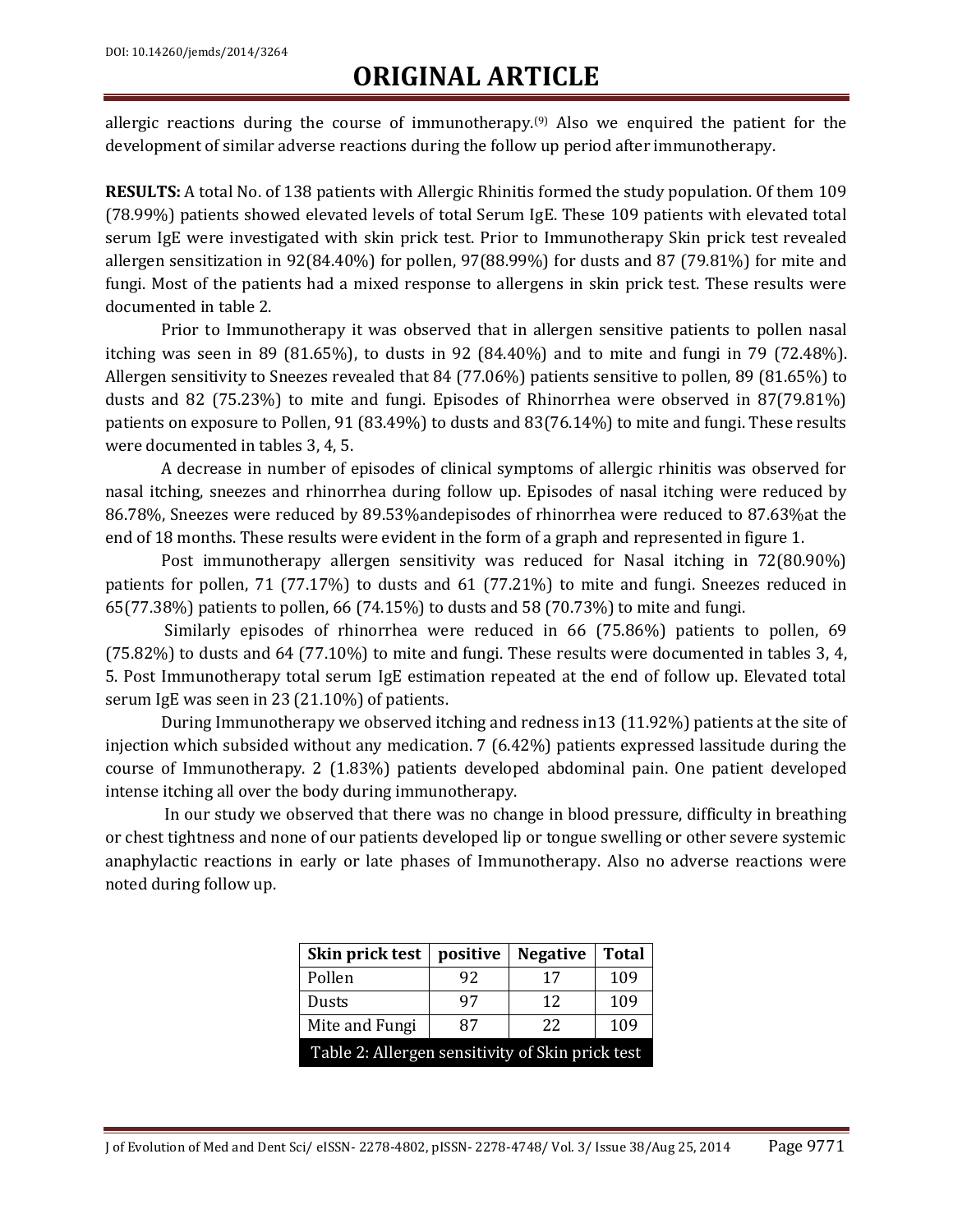allergic reactions during the course of immunotherapy.<sup>(9)</sup> Also we enquired the patient for the development of similar adverse reactions during the follow up period after immunotherapy.

**RESULTS:** A total No. of 138 patients with Allergic Rhinitis formed the study population. Of them 109 (78.99%) patients showed elevated levels of total Serum IgE. These 109 patients with elevated total serum IgE were investigated with skin prick test. Prior to Immunotherapy Skin prick test revealed allergen sensitization in 92(84.40%) for pollen, 97(88.99%) for dusts and 87 (79.81%) for mite and fungi. Most of the patients had a mixed response to allergens in skin prick test. These results were documented in table 2.

Prior to Immunotherapy it was observed that in allergen sensitive patients to pollen nasal itching was seen in 89 (81.65%), to dusts in 92 (84.40%) and to mite and fungi in 79 (72.48%). Allergen sensitivity to Sneezes revealed that 84 (77.06%) patients sensitive to pollen, 89 (81.65%) to dusts and 82 (75.23%) to mite and fungi. Episodes of Rhinorrhea were observed in 87(79.81%) patients on exposure to Pollen, 91 (83.49%) to dusts and 83(76.14%) to mite and fungi. These results were documented in tables 3, 4, 5.

A decrease in number of episodes of clinical symptoms of allergic rhinitis was observed for nasal itching, sneezes and rhinorrhea during follow up. Episodes of nasal itching were reduced by 86.78%, Sneezes were reduced by 89.53%andepisodes of rhinorrhea were reduced to 87.63%at the end of 18 months. These results were evident in the form of a graph and represented in figure 1.

Post immunotherapy allergen sensitivity was reduced for Nasal itching in 72(80.90%) patients for pollen, 71 (77.17%) to dusts and 61 (77.21%) to mite and fungi. Sneezes reduced in 65(77.38%) patients to pollen, 66 (74.15%) to dusts and 58 (70.73%) to mite and fungi.

Similarly episodes of rhinorrhea were reduced in 66 (75.86%) patients to pollen, 69  $(75.82\%)$  to dusts and 64  $(77.10\%)$  to mite and fungi. These results were documented in tables 3, 4, 5. Post Immunotherapy total serum IgE estimation repeated at the end of follow up. Elevated total serum IgE was seen in 23 (21.10%) of patients.

During Immunotherapy we observed itching and redness in13 (11.92%) patients at the site of injection which subsided without any medication. 7 (6.42%) patients expressed lassitude during the course of Immunotherapy. 2 (1.83%) patients developed abdominal pain. One patient developed intense itching all over the body during immunotherapy.

In our study we observed that there was no change in blood pressure, difficulty in breathing or chest tightness and none of our patients developed lip or tongue swelling or other severe systemic anaphylactic reactions in early or late phases of Immunotherapy. Also no adverse reactions were noted during follow up.

| Skin prick test                                  | positive | <b>Negative</b> | <b>Total</b> |
|--------------------------------------------------|----------|-----------------|--------------|
| Pollen                                           | 92       | 17              | 109          |
| Dusts                                            | 97       | 12              | 109          |
| Mite and Fungi                                   | 87       | 22              | 109          |
| Table 2: Allergen sensitivity of Skin prick test |          |                 |              |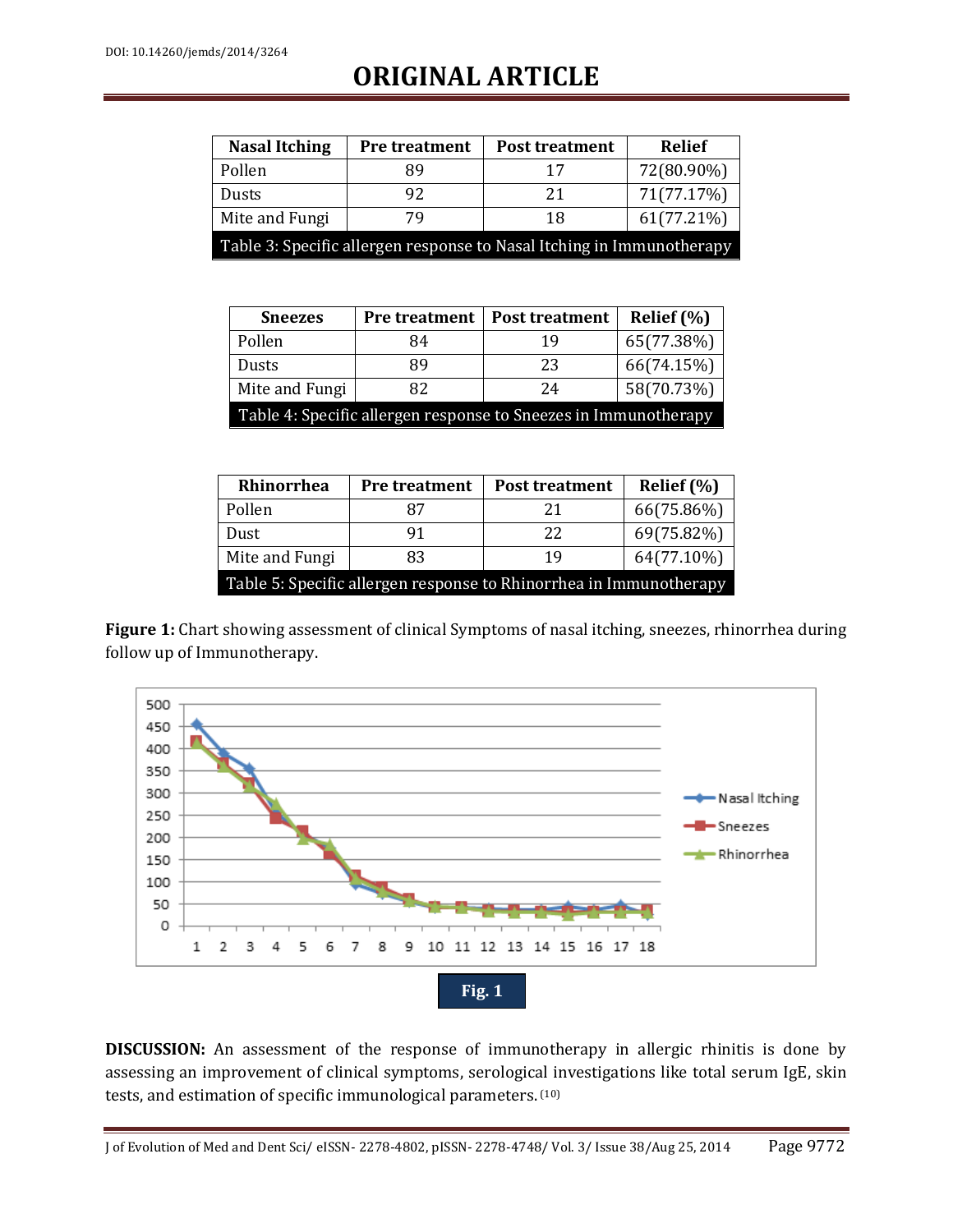| <b>Nasal Itching</b>                                                  | <b>Pre treatment</b> | <b>Post treatment</b> | <b>Relief</b> |
|-----------------------------------------------------------------------|----------------------|-----------------------|---------------|
| Pollen                                                                | 89                   | 17                    | 72(80.90%)    |
| Dusts                                                                 | 92                   | 21                    | 71(77.17%)    |
| Mite and Fungi                                                        | 79                   | 18                    | 61(77.21%)    |
| Table 3: Specific allergen response to Nasal Itching in Immunotherapy |                      |                       |               |

| <b>Sneezes</b>                                                  | <b>Pre treatment</b> | <b>Post treatment</b> | Relief $(\% )$ |
|-----------------------------------------------------------------|----------------------|-----------------------|----------------|
| Pollen                                                          | 84                   | 19                    | 65(77.38%)     |
| Dusts                                                           | 89                   | 23                    | 66(74.15%)     |
| Mite and Fungi                                                  | 82                   | 24                    | 58(70.73%)     |
| Table 4: Specific allergen response to Sneezes in Immunotherapy |                      |                       |                |

| Rhinorrhea                                                         | <b>Pre treatment</b> | <b>Post treatment</b> | Relief $(\% )$ |
|--------------------------------------------------------------------|----------------------|-----------------------|----------------|
| Pollen                                                             | 87                   | 21                    | 66(75.86%)     |
| Dust                                                               | 91                   | 22                    | 69(75.82%)     |
| Mite and Fungi                                                     | 83                   | 19                    | 64(77.10%)     |
| Table 5: Specific allergen response to Rhinorrhea in Immunotherapy |                      |                       |                |

**Figure 1:** Chart showing assessment of clinical Symptoms of nasal itching, sneezes, rhinorrhea during follow up of Immunotherapy.



**DISCUSSION:** An assessment of the response of immunotherapy in allergic rhinitis is done by assessing an improvement of clinical symptoms, serological investigations like total serum IgE, skin tests, and estimation of specific immunological parameters. (10)

J of Evolution of Med and Dent Sci/ eISSN- 2278-4802, pISSN- 2278-4748/ Vol. 3/ Issue 38/Aug 25, 2014 Page 9772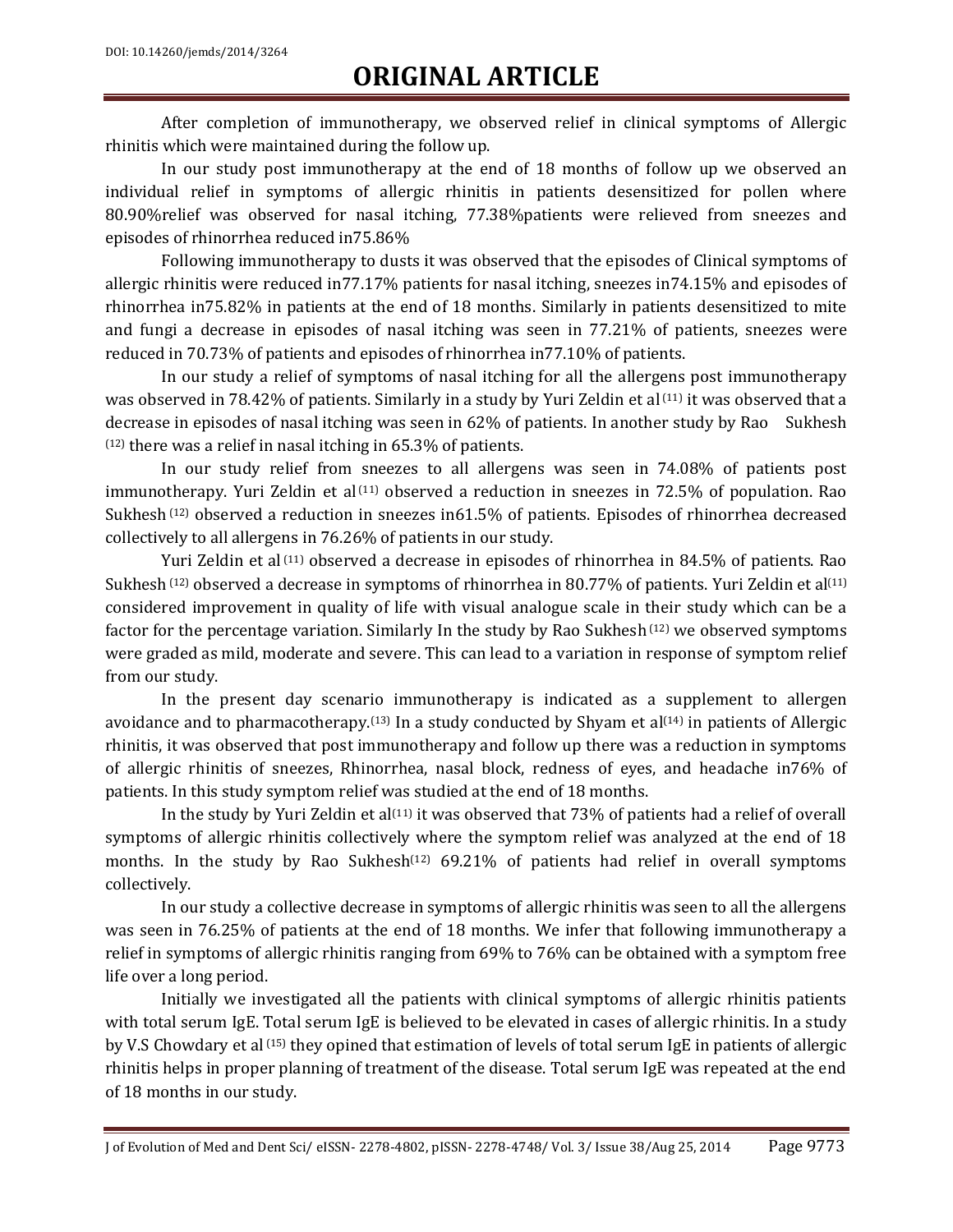After completion of immunotherapy, we observed relief in clinical symptoms of Allergic rhinitis which were maintained during the follow up.

In our study post immunotherapy at the end of 18 months of follow up we observed an individual relief in symptoms of allergic rhinitis in patients desensitized for pollen where 80.90%relief was observed for nasal itching, 77.38%patients were relieved from sneezes and episodes of rhinorrhea reduced in75.86%

Following immunotherapy to dusts it was observed that the episodes of Clinical symptoms of allergic rhinitis were reduced in77.17% patients for nasal itching, sneezes in74.15% and episodes of rhinorrhea in75.82% in patients at the end of 18 months. Similarly in patients desensitized to mite and fungi a decrease in episodes of nasal itching was seen in 77.21% of patients, sneezes were reduced in 70.73% of patients and episodes of rhinorrhea in77.10% of patients.

In our study a relief of symptoms of nasal itching for all the allergens post immunotherapy was observed in 78.42% of patients. Similarly in a study by Yuri Zeldin et al <sup>(11)</sup> it was observed that a decrease in episodes of nasal itching was seen in 62% of patients. In another study by Rao Sukhesh  $(12)$  there was a relief in nasal itching in 65.3% of patients.

In our study relief from sneezes to all allergens was seen in 74.08% of patients post immunotherapy. Yuri Zeldin et al (11) observed a reduction in sneezes in 72.5% of population. Rao Sukhesh (12) observed a reduction in sneezes in61.5% of patients. Episodes of rhinorrhea decreased collectively to all allergens in 76.26% of patients in our study.

Yuri Zeldin et al <sup>(11)</sup> observed a decrease in episodes of rhinorrhea in 84.5% of patients. Rao Sukhesh  $(12)$  observed a decrease in symptoms of rhinorrhea in 80.77% of patients. Yuri Zeldin et al $(11)$ considered improvement in quality of life with visual analogue scale in their study which can be a factor for the percentage variation. Similarly In the study by Rao Sukhesh (12) we observed symptoms were graded as mild, moderate and severe. This can lead to a variation in response of symptom relief from our study.

In the present day scenario immunotherapy is indicated as a supplement to allergen avoidance and to pharmacotherapy.<sup>(13)</sup> In a study conducted by Shyam et al<sup>(14)</sup> in patients of Allergic rhinitis, it was observed that post immunotherapy and follow up there was a reduction in symptoms of allergic rhinitis of sneezes, Rhinorrhea, nasal block, redness of eyes, and headache in76% of patients. In this study symptom relief was studied at the end of 18 months.

In the study by Yuri Zeldin et al<sup>(11)</sup> it was observed that  $73%$  of patients had a relief of overall symptoms of allergic rhinitis collectively where the symptom relief was analyzed at the end of 18 months. In the study by Rao Sukhesh<sup>(12)</sup> 69.21% of patients had relief in overall symptoms collectively.

In our study a collective decrease in symptoms of allergic rhinitis was seen to all the allergens was seen in 76.25% of patients at the end of 18 months. We infer that following immunotherapy a relief in symptoms of allergic rhinitis ranging from 69% to 76% can be obtained with a symptom free life over a long period.

Initially we investigated all the patients with clinical symptoms of allergic rhinitis patients with total serum IgE. Total serum IgE is believed to be elevated in cases of allergic rhinitis. In a study by V.S Chowdary et al (15) they opined that estimation of levels of total serum IgE in patients of allergic rhinitis helps in proper planning of treatment of the disease. Total serum IgE was repeated at the end of 18 months in our study.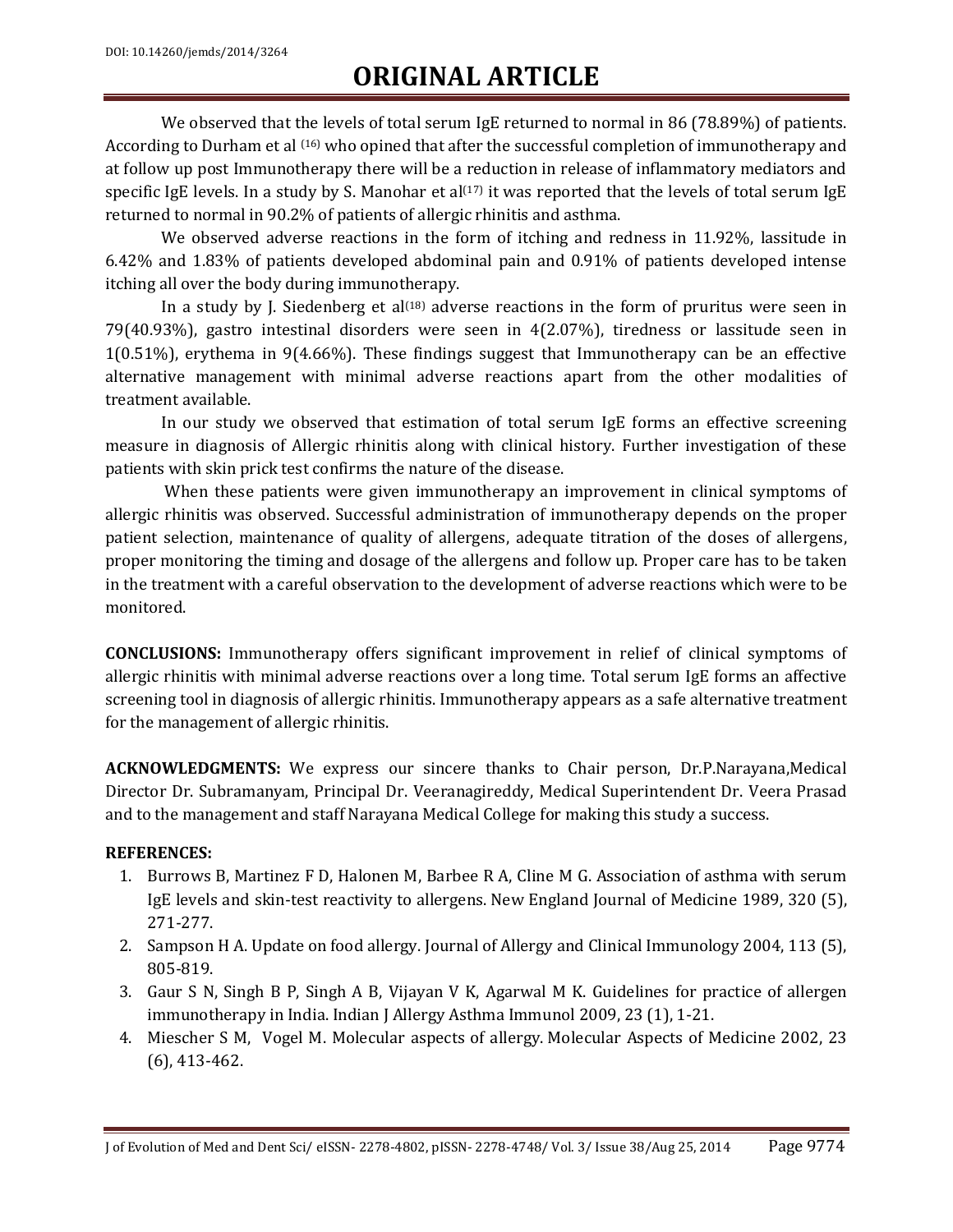We observed that the levels of total serum IgE returned to normal in 86 (78.89%) of patients. According to Durham et al <sup>(16)</sup> who opined that after the successful completion of immunotherapy and at follow up post Immunotherapy there will be a reduction in release of inflammatory mediators and specific IgE levels. In a study by S. Manohar et al<sup>(17)</sup> it was reported that the levels of total serum IgE returned to normal in 90.2% of patients of allergic rhinitis and asthma.

We observed adverse reactions in the form of itching and redness in 11.92%, lassitude in 6.42% and 1.83% of patients developed abdominal pain and 0.91% of patients developed intense itching all over the body during immunotherapy.

In a study by J. Siedenberg et al $(18)$  adverse reactions in the form of pruritus were seen in 79(40.93%), gastro intestinal disorders were seen in 4(2.07%), tiredness or lassitude seen in 1(0.51%), erythema in 9(4.66%). These findings suggest that Immunotherapy can be an effective alternative management with minimal adverse reactions apart from the other modalities of treatment available.

In our study we observed that estimation of total serum IgE forms an effective screening measure in diagnosis of Allergic rhinitis along with clinical history. Further investigation of these patients with skin prick test confirms the nature of the disease.

When these patients were given immunotherapy an improvement in clinical symptoms of allergic rhinitis was observed. Successful administration of immunotherapy depends on the proper patient selection, maintenance of quality of allergens, adequate titration of the doses of allergens, proper monitoring the timing and dosage of the allergens and follow up. Proper care has to be taken in the treatment with a careful observation to the development of adverse reactions which were to be monitored.

**CONCLUSIONS:** Immunotherapy offers significant improvement in relief of clinical symptoms of allergic rhinitis with minimal adverse reactions over a long time. Total serum IgE forms an affective screening tool in diagnosis of allergic rhinitis. Immunotherapy appears as a safe alternative treatment for the management of allergic rhinitis.

**ACKNOWLEDGMENTS:** We express our sincere thanks to Chair person, Dr.P.Narayana,Medical Director Dr. Subramanyam, Principal Dr. Veeranagireddy, Medical Superintendent Dr. Veera Prasad and to the management and staff Narayana Medical College for making this study a success.

### **REFERENCES:**

- 1. Burrows B, Martinez F D, Halonen M, Barbee R A, Cline M G. Association of asthma with serum IgE levels and skin-test reactivity to allergens. New England Journal of Medicine 1989, 320 (5), 271-277.
- 2. Sampson H A. Update on food allergy. Journal of Allergy and Clinical Immunology 2004, 113 (5), 805-819.
- 3. Gaur S N, Singh B P, Singh A B, Vijayan V K, Agarwal M K. Guidelines for practice of allergen immunotherapy in India. Indian J Allergy Asthma Immunol 2009, 23 (1), 1-21.
- 4. Miescher S M, Vogel M. Molecular aspects of allergy. Molecular Aspects of Medicine 2002, 23 (6), 413-462.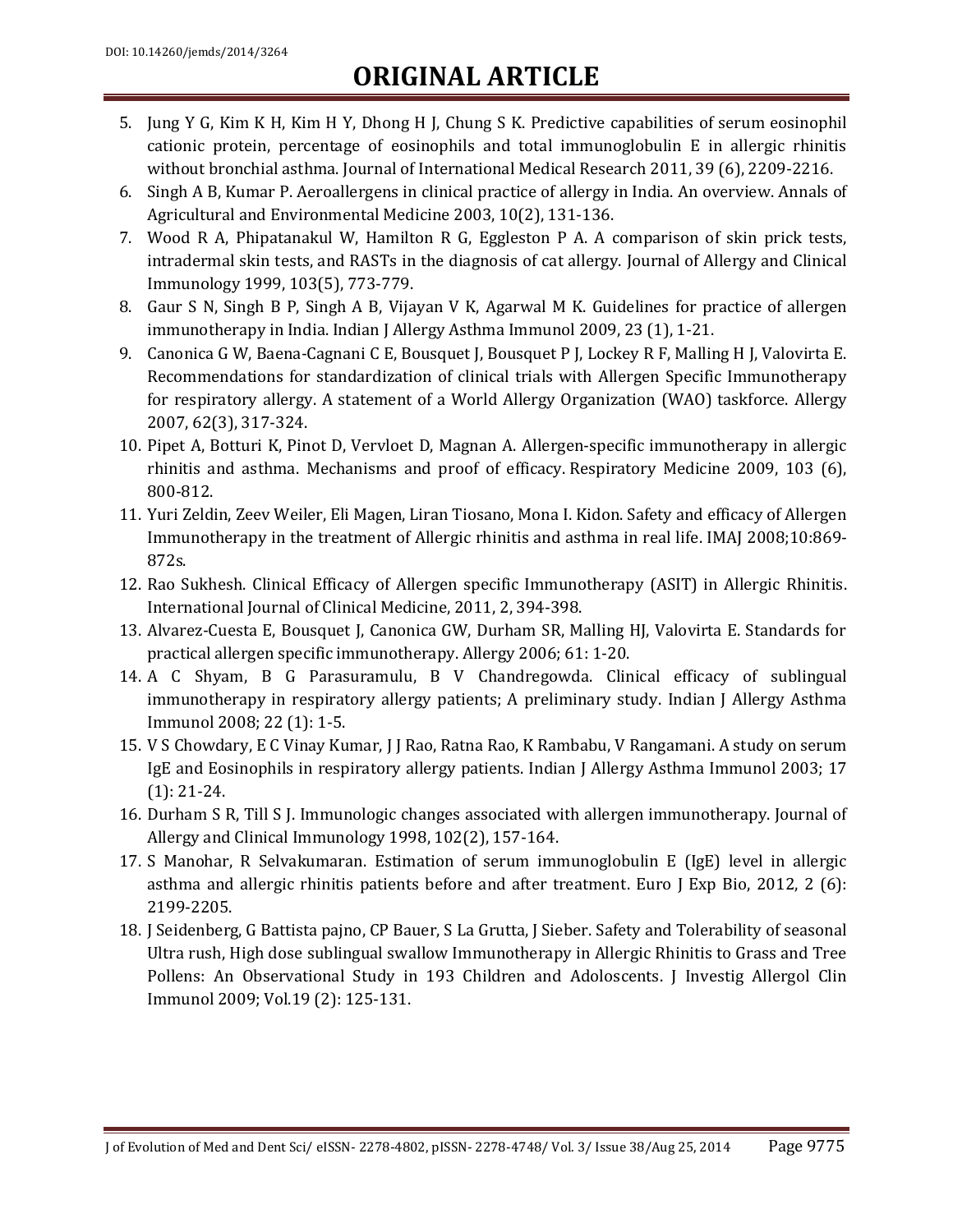- 5. Jung Y G, Kim K H, Kim H Y, Dhong H J, Chung S K. Predictive capabilities of serum eosinophil cationic protein, percentage of eosinophils and total immunoglobulin E in allergic rhinitis without bronchial asthma. Journal of International Medical Research 2011, 39 (6), 2209-2216.
- 6. Singh A B, Kumar P. Aeroallergens in clinical practice of allergy in India. An overview. Annals of Agricultural and Environmental Medicine 2003, 10(2), 131-136.
- 7. Wood R A, Phipatanakul W, Hamilton R G, Eggleston P A. A comparison of skin prick tests, intradermal skin tests, and RASTs in the diagnosis of cat allergy. Journal of Allergy and Clinical Immunology 1999, 103(5), 773-779.
- 8. Gaur S N, Singh B P, Singh A B, Vijayan V K, Agarwal M K. Guidelines for practice of allergen immunotherapy in India. Indian J Allergy Asthma Immunol 2009, 23 (1), 1-21.
- 9. Canonica G W, Baena-Cagnani C E, Bousquet J, Bousquet P J, Lockey R F, Malling H J, Valovirta E. Recommendations for standardization of clinical trials with Allergen Specific Immunotherapy for respiratory allergy. A statement of a World Allergy Organization (WAO) taskforce. Allergy 2007, 62(3), 317-324.
- 10. Pipet A, Botturi K, Pinot D, Vervloet D, Magnan A. Allergen-specific immunotherapy in allergic rhinitis and asthma. Mechanisms and proof of efficacy. Respiratory Medicine 2009, 103 (6), 800-812.
- 11. Yuri Zeldin, Zeev Weiler, Eli Magen, Liran Tiosano, Mona I. Kidon. Safety and efficacy of Allergen Immunotherapy in the treatment of Allergic rhinitis and asthma in real life. IMAJ 2008;10:869- 872s.
- 12. Rao Sukhesh. Clinical Efficacy of Allergen specific Immunotherapy (ASIT) in Allergic Rhinitis. International Journal of Clinical Medicine, 2011, 2, 394-398.
- 13. Alvarez-Cuesta E, Bousquet J, Canonica GW, Durham SR, Malling HJ, Valovirta E. Standards for practical allergen specific immunotherapy. Allergy 2006; 61: 1-20.
- 14. A C Shyam, B G Parasuramulu, B V Chandregowda. Clinical efficacy of sublingual immunotherapy in respiratory allergy patients; A preliminary study. Indian J Allergy Asthma Immunol 2008; 22 (1): 1-5.
- 15. V S Chowdary, E C Vinay Kumar, J J Rao, Ratna Rao, K Rambabu, V Rangamani. A study on serum IgE and Eosinophils in respiratory allergy patients. Indian J Allergy Asthma Immunol 2003; 17 (1): 21-24.
- 16. Durham S R, Till S J. Immunologic changes associated with allergen immunotherapy. Journal of Allergy and Clinical Immunology 1998, 102(2), 157-164.
- 17. S Manohar, R Selvakumaran. Estimation of serum immunoglobulin E (IgE) level in allergic asthma and allergic rhinitis patients before and after treatment. Euro J Exp Bio, 2012, 2 (6): 2199-2205.
- 18. J Seidenberg, G Battista pajno, CP Bauer, S La Grutta, J Sieber. Safety and Tolerability of seasonal Ultra rush, High dose sublingual swallow Immunotherapy in Allergic Rhinitis to Grass and Tree Pollens: An Observational Study in 193 Children and Adoloscents. J Investig Allergol Clin Immunol 2009; Vol.19 (2): 125-131.